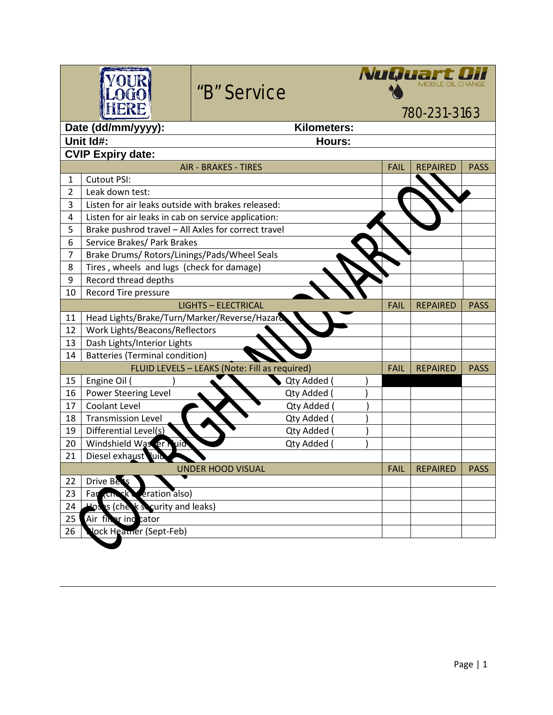| Date (dd/mm/yyyy):<br>Kilometers:<br>Unit Id#:<br>Hours:<br><b>CVIP Expiry date:</b><br><b>AIR - BRAKES - TIRES</b><br><b>REPAIRED</b><br><b>FAIL</b><br><b>PASS</b><br><b>Cutout PSI:</b><br>$\mathbf{1}$<br>$\overline{2}$<br>Leak down test:<br>3<br>Listen for air leaks outside with brakes released:<br>4<br>Listen for air leaks in cab on service application:<br>5<br>Brake pushrod travel - All Axles for correct travel<br>6<br>Service Brakes/ Park Brakes<br>$\overline{7}$<br>Brake Drums/ Rotors/Linings/Pads/Wheel Seals<br>Tires, wheels and lugs (check for damage)<br>8<br>9<br>Record thread depths<br>Record Tire pressure<br>10<br><b>LIGHTS - ELECTRICAL</b><br><b>FAIL</b><br><b>REPAIRED</b><br><b>PASS</b><br>Head Lights/Brake/Turn/Marker/Reverse/Hazard<br>11<br>Work Lights/Beacons/Reflectors<br>12<br>Dash Lights/Interior Lights<br>13<br><b>Batteries (Terminal condition)</b><br>14<br>FLUID LEVELS - LEAKS (Note: Fill as required)<br><b>FAIL</b><br><b>REPAIRED</b><br><b>PASS</b><br>15<br>Engine Oil (<br>Qty Added<br>Power Steering Level<br>16<br>Qty Added<br>Coolant Level<br>Qty Added<br>17<br><b>Transmission Level</b><br>18<br>Qty Added<br>Differential Level(s)<br>19<br>Qty Added (<br>Windshield Was er Nuid<br>Qty Added (<br>20<br>Diesel exhaust luid<br>21<br>UNDER HOOD VISUAL<br><b>FAIL</b><br><b>REPAIRED</b><br><b>PASS</b><br>Drive Bets<br>22<br>23<br>eration also)<br>Far<br>,Ch<br>Hoses (check security and leaks)<br>24<br>25<br>Air firer ind cator |    |                         | NuQuart<br>780-231-3163 |  |  |  |  |  |  |  |  |
|----------------------------------------------------------------------------------------------------------------------------------------------------------------------------------------------------------------------------------------------------------------------------------------------------------------------------------------------------------------------------------------------------------------------------------------------------------------------------------------------------------------------------------------------------------------------------------------------------------------------------------------------------------------------------------------------------------------------------------------------------------------------------------------------------------------------------------------------------------------------------------------------------------------------------------------------------------------------------------------------------------------------------------------------------------------------------------------------------------------------------------------------------------------------------------------------------------------------------------------------------------------------------------------------------------------------------------------------------------------------------------------------------------------------------------------------------------------------------------------------------------------------------|----|-------------------------|-------------------------|--|--|--|--|--|--|--|--|
|                                                                                                                                                                                                                                                                                                                                                                                                                                                                                                                                                                                                                                                                                                                                                                                                                                                                                                                                                                                                                                                                                                                                                                                                                                                                                                                                                                                                                                                                                                                            |    |                         |                         |  |  |  |  |  |  |  |  |
|                                                                                                                                                                                                                                                                                                                                                                                                                                                                                                                                                                                                                                                                                                                                                                                                                                                                                                                                                                                                                                                                                                                                                                                                                                                                                                                                                                                                                                                                                                                            |    |                         |                         |  |  |  |  |  |  |  |  |
|                                                                                                                                                                                                                                                                                                                                                                                                                                                                                                                                                                                                                                                                                                                                                                                                                                                                                                                                                                                                                                                                                                                                                                                                                                                                                                                                                                                                                                                                                                                            |    |                         |                         |  |  |  |  |  |  |  |  |
|                                                                                                                                                                                                                                                                                                                                                                                                                                                                                                                                                                                                                                                                                                                                                                                                                                                                                                                                                                                                                                                                                                                                                                                                                                                                                                                                                                                                                                                                                                                            |    |                         |                         |  |  |  |  |  |  |  |  |
|                                                                                                                                                                                                                                                                                                                                                                                                                                                                                                                                                                                                                                                                                                                                                                                                                                                                                                                                                                                                                                                                                                                                                                                                                                                                                                                                                                                                                                                                                                                            |    |                         |                         |  |  |  |  |  |  |  |  |
|                                                                                                                                                                                                                                                                                                                                                                                                                                                                                                                                                                                                                                                                                                                                                                                                                                                                                                                                                                                                                                                                                                                                                                                                                                                                                                                                                                                                                                                                                                                            |    |                         |                         |  |  |  |  |  |  |  |  |
|                                                                                                                                                                                                                                                                                                                                                                                                                                                                                                                                                                                                                                                                                                                                                                                                                                                                                                                                                                                                                                                                                                                                                                                                                                                                                                                                                                                                                                                                                                                            |    |                         |                         |  |  |  |  |  |  |  |  |
|                                                                                                                                                                                                                                                                                                                                                                                                                                                                                                                                                                                                                                                                                                                                                                                                                                                                                                                                                                                                                                                                                                                                                                                                                                                                                                                                                                                                                                                                                                                            |    |                         |                         |  |  |  |  |  |  |  |  |
|                                                                                                                                                                                                                                                                                                                                                                                                                                                                                                                                                                                                                                                                                                                                                                                                                                                                                                                                                                                                                                                                                                                                                                                                                                                                                                                                                                                                                                                                                                                            |    |                         |                         |  |  |  |  |  |  |  |  |
|                                                                                                                                                                                                                                                                                                                                                                                                                                                                                                                                                                                                                                                                                                                                                                                                                                                                                                                                                                                                                                                                                                                                                                                                                                                                                                                                                                                                                                                                                                                            |    |                         |                         |  |  |  |  |  |  |  |  |
|                                                                                                                                                                                                                                                                                                                                                                                                                                                                                                                                                                                                                                                                                                                                                                                                                                                                                                                                                                                                                                                                                                                                                                                                                                                                                                                                                                                                                                                                                                                            |    |                         |                         |  |  |  |  |  |  |  |  |
|                                                                                                                                                                                                                                                                                                                                                                                                                                                                                                                                                                                                                                                                                                                                                                                                                                                                                                                                                                                                                                                                                                                                                                                                                                                                                                                                                                                                                                                                                                                            |    |                         |                         |  |  |  |  |  |  |  |  |
|                                                                                                                                                                                                                                                                                                                                                                                                                                                                                                                                                                                                                                                                                                                                                                                                                                                                                                                                                                                                                                                                                                                                                                                                                                                                                                                                                                                                                                                                                                                            |    |                         |                         |  |  |  |  |  |  |  |  |
|                                                                                                                                                                                                                                                                                                                                                                                                                                                                                                                                                                                                                                                                                                                                                                                                                                                                                                                                                                                                                                                                                                                                                                                                                                                                                                                                                                                                                                                                                                                            |    |                         |                         |  |  |  |  |  |  |  |  |
|                                                                                                                                                                                                                                                                                                                                                                                                                                                                                                                                                                                                                                                                                                                                                                                                                                                                                                                                                                                                                                                                                                                                                                                                                                                                                                                                                                                                                                                                                                                            |    |                         |                         |  |  |  |  |  |  |  |  |
|                                                                                                                                                                                                                                                                                                                                                                                                                                                                                                                                                                                                                                                                                                                                                                                                                                                                                                                                                                                                                                                                                                                                                                                                                                                                                                                                                                                                                                                                                                                            |    |                         |                         |  |  |  |  |  |  |  |  |
|                                                                                                                                                                                                                                                                                                                                                                                                                                                                                                                                                                                                                                                                                                                                                                                                                                                                                                                                                                                                                                                                                                                                                                                                                                                                                                                                                                                                                                                                                                                            |    |                         |                         |  |  |  |  |  |  |  |  |
|                                                                                                                                                                                                                                                                                                                                                                                                                                                                                                                                                                                                                                                                                                                                                                                                                                                                                                                                                                                                                                                                                                                                                                                                                                                                                                                                                                                                                                                                                                                            |    |                         |                         |  |  |  |  |  |  |  |  |
|                                                                                                                                                                                                                                                                                                                                                                                                                                                                                                                                                                                                                                                                                                                                                                                                                                                                                                                                                                                                                                                                                                                                                                                                                                                                                                                                                                                                                                                                                                                            |    |                         |                         |  |  |  |  |  |  |  |  |
|                                                                                                                                                                                                                                                                                                                                                                                                                                                                                                                                                                                                                                                                                                                                                                                                                                                                                                                                                                                                                                                                                                                                                                                                                                                                                                                                                                                                                                                                                                                            |    |                         |                         |  |  |  |  |  |  |  |  |
|                                                                                                                                                                                                                                                                                                                                                                                                                                                                                                                                                                                                                                                                                                                                                                                                                                                                                                                                                                                                                                                                                                                                                                                                                                                                                                                                                                                                                                                                                                                            |    |                         |                         |  |  |  |  |  |  |  |  |
|                                                                                                                                                                                                                                                                                                                                                                                                                                                                                                                                                                                                                                                                                                                                                                                                                                                                                                                                                                                                                                                                                                                                                                                                                                                                                                                                                                                                                                                                                                                            |    |                         |                         |  |  |  |  |  |  |  |  |
|                                                                                                                                                                                                                                                                                                                                                                                                                                                                                                                                                                                                                                                                                                                                                                                                                                                                                                                                                                                                                                                                                                                                                                                                                                                                                                                                                                                                                                                                                                                            |    |                         |                         |  |  |  |  |  |  |  |  |
|                                                                                                                                                                                                                                                                                                                                                                                                                                                                                                                                                                                                                                                                                                                                                                                                                                                                                                                                                                                                                                                                                                                                                                                                                                                                                                                                                                                                                                                                                                                            |    |                         |                         |  |  |  |  |  |  |  |  |
|                                                                                                                                                                                                                                                                                                                                                                                                                                                                                                                                                                                                                                                                                                                                                                                                                                                                                                                                                                                                                                                                                                                                                                                                                                                                                                                                                                                                                                                                                                                            |    |                         |                         |  |  |  |  |  |  |  |  |
|                                                                                                                                                                                                                                                                                                                                                                                                                                                                                                                                                                                                                                                                                                                                                                                                                                                                                                                                                                                                                                                                                                                                                                                                                                                                                                                                                                                                                                                                                                                            |    |                         |                         |  |  |  |  |  |  |  |  |
|                                                                                                                                                                                                                                                                                                                                                                                                                                                                                                                                                                                                                                                                                                                                                                                                                                                                                                                                                                                                                                                                                                                                                                                                                                                                                                                                                                                                                                                                                                                            |    |                         |                         |  |  |  |  |  |  |  |  |
|                                                                                                                                                                                                                                                                                                                                                                                                                                                                                                                                                                                                                                                                                                                                                                                                                                                                                                                                                                                                                                                                                                                                                                                                                                                                                                                                                                                                                                                                                                                            |    |                         |                         |  |  |  |  |  |  |  |  |
|                                                                                                                                                                                                                                                                                                                                                                                                                                                                                                                                                                                                                                                                                                                                                                                                                                                                                                                                                                                                                                                                                                                                                                                                                                                                                                                                                                                                                                                                                                                            |    |                         |                         |  |  |  |  |  |  |  |  |
|                                                                                                                                                                                                                                                                                                                                                                                                                                                                                                                                                                                                                                                                                                                                                                                                                                                                                                                                                                                                                                                                                                                                                                                                                                                                                                                                                                                                                                                                                                                            |    |                         |                         |  |  |  |  |  |  |  |  |
|                                                                                                                                                                                                                                                                                                                                                                                                                                                                                                                                                                                                                                                                                                                                                                                                                                                                                                                                                                                                                                                                                                                                                                                                                                                                                                                                                                                                                                                                                                                            |    |                         |                         |  |  |  |  |  |  |  |  |
|                                                                                                                                                                                                                                                                                                                                                                                                                                                                                                                                                                                                                                                                                                                                                                                                                                                                                                                                                                                                                                                                                                                                                                                                                                                                                                                                                                                                                                                                                                                            | 26 | lock Heatner (Sept-Feb) |                         |  |  |  |  |  |  |  |  |